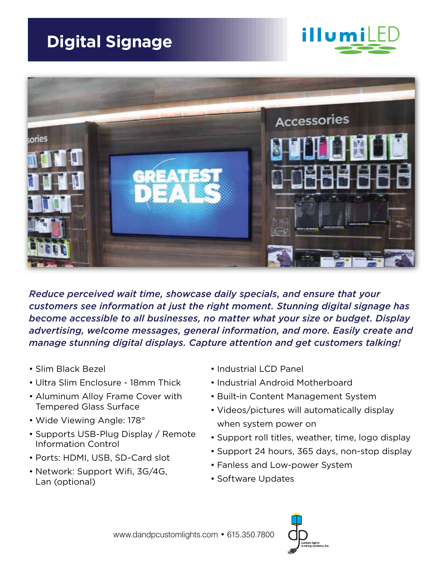



*Reduce perceived wait time, showcase daily specials, and ensure that your customers see information at just the right moment. Stunning digital signage has become accessible to all businesses, no matter what your size or budget. Display advertising, welcome messages, general information, and more. Easily create and manage stunning digital displays. Capture attention and get customers talking!* 

- Slim Black Bezel
- Ultra Slim Enclosure 18mm Thick
- Aluminum Alloy Frame Cover with Tempered Glass Surface
- Wide Viewing Angle: 178°
- Supports USB-Plug Display / Remote Information Control
- Ports: HDMI, USB, SD-Card slot
- Network: Support Wifi, 3G/4G, Lan (optional)
- Industrial LCD Panel
- Industrial Android Motherboard
- Built-in Content Management System
- Videos/pictures will automatically display when system power on
- Support roll titles, weather, time, logo display
- Support 24 hours, 365 days, non-stop display
- Fanless and Low-power System
- Software Updates

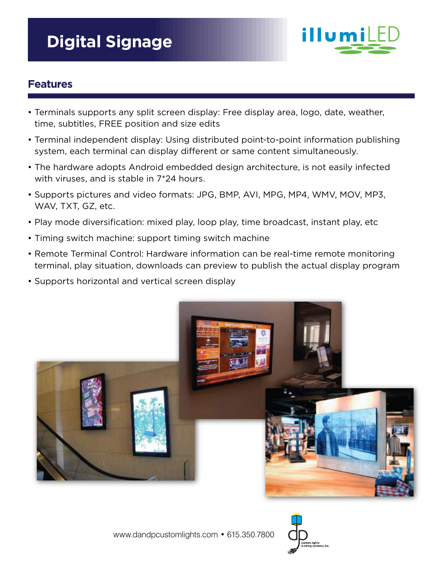

# **Features**

- Terminals supports any split screen display: Free display area, logo, date, weather, time, subtitles, FREE position and size edits
- Terminal independent display: Using distributed point-to-point information publishing system, each terminal can display different or same content simultaneously.
- The hardware adopts Android embedded design architecture, is not easily infected with viruses, and is stable in 7\*24 hours.
- Supports pictures and video formats: JPG, BMP, AVI, MPG, MP4, WMV, MOV, MP3, WAV, TXT, GZ, etc.
- Play mode diversification: mixed play, loop play, time broadcast, instant play, etc
- Timing switch machine: support timing switch machine
- Remote Terminal Control: Hardware information can be real-time remote monitoring terminal, play situation, downloads can preview to publish the actual display program
- Supports horizontal and vertical screen display



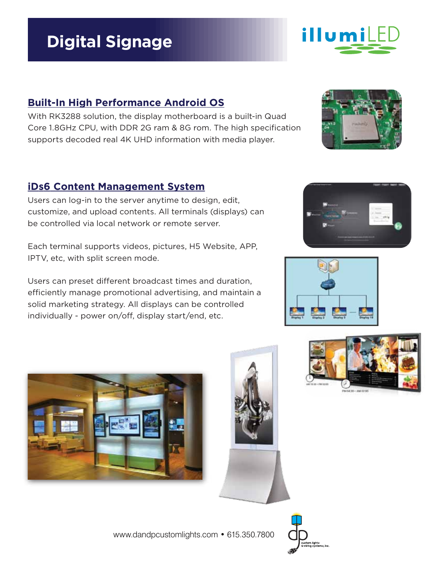# **Built-In High Performance Android OS**

With RK3288 solution, the display motherboard is a built-in Quad Core 1.8GHz CPU, with DDR 2G ram & 8G rom. The high specification supports decoded real 4K UHD information with media player.

## **iDs6 Content Management System**

Users can log-in to the server anytime to design, edit, customize, and upload contents. All terminals (displays) can be controlled via local network or remote server.

Each terminal supports videos, pictures, H5 Website, APP, IPTV, etc, with split screen mode.

Users can preset different broadcast times and duration, efficiently manage promotional advertising, and maintain a solid marketing strategy. All displays can be controlled individually - power on/off, display start/end, etc.